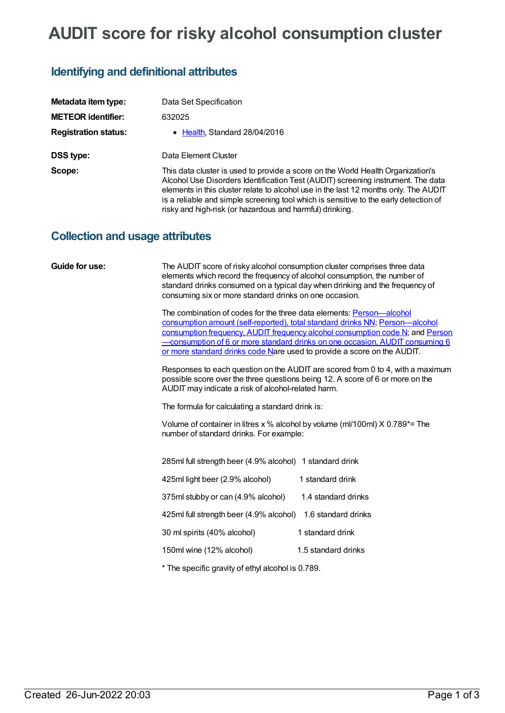# **AUDIT score for risky alcohol consumption cluster**

## **Identifying and definitional attributes**

| Metadata item type:         | Data Set Specification                                                                                                                                                                                                                                                                                                                                                                                          |
|-----------------------------|-----------------------------------------------------------------------------------------------------------------------------------------------------------------------------------------------------------------------------------------------------------------------------------------------------------------------------------------------------------------------------------------------------------------|
| <b>METEOR identifier:</b>   | 632025                                                                                                                                                                                                                                                                                                                                                                                                          |
| <b>Registration status:</b> | • Health, Standard 28/04/2016                                                                                                                                                                                                                                                                                                                                                                                   |
| DSS type:                   | Data Element Cluster                                                                                                                                                                                                                                                                                                                                                                                            |
| Scope:                      | This data cluster is used to provide a score on the World Health Organization's<br>Alcohol Use Disorders Identification Test (AUDIT) screening instrument. The data<br>elements in this cluster relate to alcohol use in the last 12 months only. The AUDIT<br>is a reliable and simple screening tool which is sensitive to the early detection of<br>risky and high-risk (or hazardous and harmful) drinking. |

### **Collection and usage attributes**

| Guide for use: | The AUDIT score of risky alcohol consumption cluster comprises three data<br>elements which record the frequency of alcohol consumption, the number of<br>consuming six or more standard drinks on one occasion. | standard drinks consumed on a typical day when drinking and the frequency of                                                                                                                                                                         |
|----------------|------------------------------------------------------------------------------------------------------------------------------------------------------------------------------------------------------------------|------------------------------------------------------------------------------------------------------------------------------------------------------------------------------------------------------------------------------------------------------|
|                | The combination of codes for the three data elements: Person—alcohol<br>or more standard drinks code Nare used to provide a score on the AUDIT.                                                                  | consumption amount (self-reported), total standard drinks NN; Person-alcohol<br>consumption frequency, AUDIT frequency alcohol consumption code N; and Person<br><u>-consumption of 6 or more standard drinks on one occasion, AUDIT consuming 6</u> |
|                | AUDIT may indicate a risk of alcohol-related harm.                                                                                                                                                               | Responses to each question on the AUDIT are scored from 0 to 4, with a maximum<br>possible score over the three questions being 12. A score of 6 or more on the                                                                                      |
|                | The formula for calculating a standard drink is:                                                                                                                                                                 |                                                                                                                                                                                                                                                      |
|                | number of standard drinks. For example:                                                                                                                                                                          | Volume of container in litres $x$ % alcohol by volume (ml/100ml) $X$ 0.789*= The                                                                                                                                                                     |
|                | 285ml full strength beer (4.9% alcohol) 1 standard drink                                                                                                                                                         |                                                                                                                                                                                                                                                      |
|                | 425ml light beer (2.9% alcohol)                                                                                                                                                                                  | 1 standard drink                                                                                                                                                                                                                                     |
|                | 375ml stubby or can (4.9% alcohol)                                                                                                                                                                               | 1.4 standard drinks                                                                                                                                                                                                                                  |
|                | 425ml full strength beer (4.9% alcohol)                                                                                                                                                                          | 1.6 standard drinks                                                                                                                                                                                                                                  |
|                | 30 ml spirits (40% alcohol)                                                                                                                                                                                      | 1 standard drink                                                                                                                                                                                                                                     |
|                | 150ml wine (12% alcohol)                                                                                                                                                                                         | 1.5 standard drinks                                                                                                                                                                                                                                  |

\* The specific gravity of ethyl alcohol is 0.789.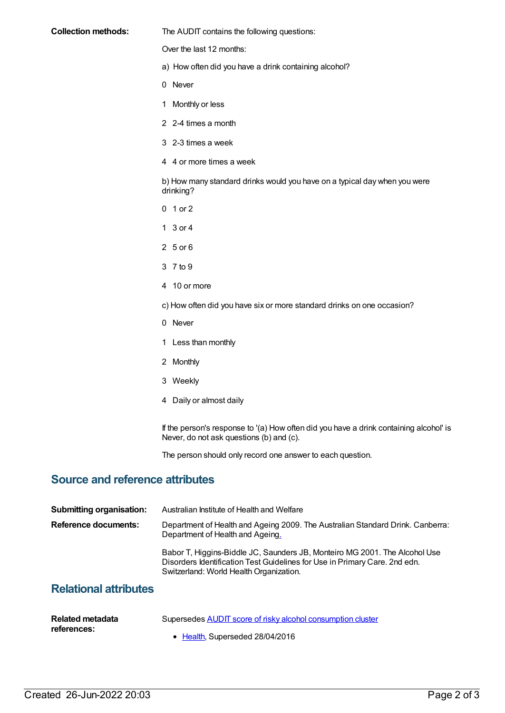#### **Collection methods:** The AUDIT contains the following questions:

Over the last 12 months:

- a) How often did you have a drink containing alcohol?
- 0 Never
- 1 Monthly or less
- 2 2-4 times a month
- 3 2-3 times a week
- 4 4 or more times a week

b) How many standard drinks would you have on a typical day when you were drinking?

- 0 1 or 2
- 1 3 or 4
- 2 5 or 6
- 3 7 to 9
- 4 10 or more
- c) How often did you have six or more standard drinks on one occasion?
- 0 Never
- 1 Less than monthly
- 2 Monthly
- 3 Weekly
- 4 Daily or almost daily

If the person's response to '(a) How often did you have a drink containing alcohol' is Never, do not ask questions (b) and (c).

The person should only record one answer to each question.

### **Source and reference attributes**

| <b>Submitting organisation:</b> | Australian Institute of Health and Welfare                                                                                                                                                          |
|---------------------------------|-----------------------------------------------------------------------------------------------------------------------------------------------------------------------------------------------------|
| Reference documents:            | Department of Health and Ageing 2009. The Australian Standard Drink. Canberra:<br>Department of Health and Ageing.                                                                                  |
|                                 | Babor T, Higgins-Biddle JC, Saunders JB, Monteiro MG 2001. The Alcohol Use<br>Disorders Identification Test Guidelines for Use in Primary Care. 2nd edn.<br>Switzerland: World Health Organization. |
| <b>Relational attributes</b>    |                                                                                                                                                                                                     |

| Related metadata | Supersedes AUDIT score of risky alcohol consumption cluster |
|------------------|-------------------------------------------------------------|
| references:      | • Health, Superseded 28/04/2016                             |